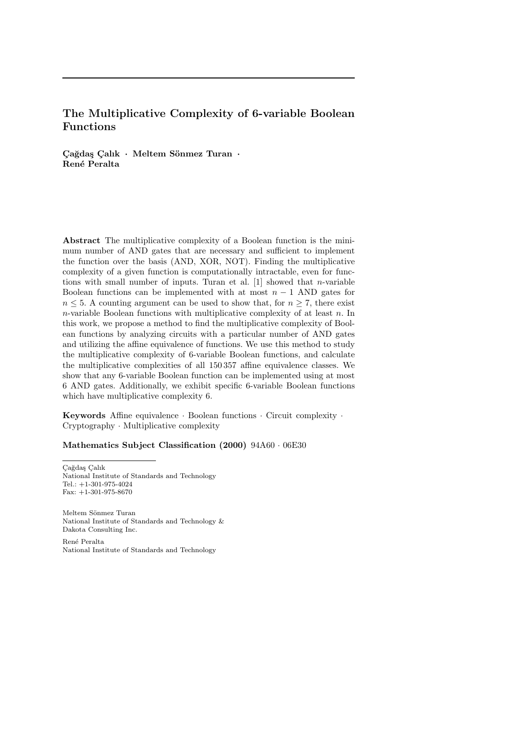# The Multiplicative Complexity of 6-variable Boolean Functions

 $\rm Ca\check{e}das$  Calık  $\cdot$  Meltem Sönmez Turan  $\cdot$ René Peralta

Abstract The multiplicative complexity of a Boolean function is the minimum number of AND gates that are necessary and sufficient to implement the function over the basis (AND, XOR, NOT). Finding the multiplicative complexity of a given function is computationally intractable, even for functions with small number of inputs. Turan et al.  $[1]$  showed that *n*-variable Boolean functions can be implemented with at most  $n - 1$  AND gates for  $n \leq 5$ . A counting argument can be used to show that, for  $n \geq 7$ , there exist  $n$ -variable Boolean functions with multiplicative complexity of at least  $n$ . In this work, we propose a method to find the multiplicative complexity of Boolean functions by analyzing circuits with a particular number of AND gates and utilizing the affine equivalence of functions. We use this method to study the multiplicative complexity of 6-variable Boolean functions, and calculate the multiplicative complexities of all 150 357 affine equivalence classes. We show that any 6-variable Boolean function can be implemented using at most 6 AND gates. Additionally, we exhibit specific 6-variable Boolean functions which have multiplicative complexity 6.

Keywords Affine equivalence  $\cdot$  Boolean functions  $\cdot$  Circuit complexity  $\cdot$  $Cryptography \cdot Multiplicative \ complexity$ 

Mathematics Subject Classification  $(2000)$  94A60  $\cdot$  06E30

 $\rm Ca\breve{g}da\sp{g}$  Calık National Institute of Standards and Technology Tel.: +1-301-975-4024 Fax: +1-301-975-8670

Meltem Sönmez Turan National Institute of Standards and Technology  $\&$ Dakota Consulting Inc.

Ren\'e Peralta National Institute of Standards and Technology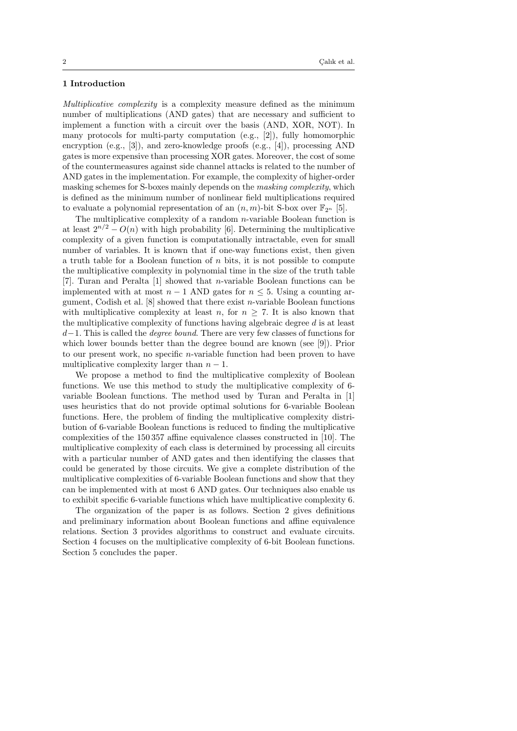# 1 Introduction

Multiplicative complexity is a complexity measure defined as the minimum number of multiplications (AND gates) that are necessary and sufficient to implement a function with a circuit over the basis (AND, XOR, NOT). In many protocols for multi-party computation (e.g., [2]), fully homomorphic encryption (e.g., [3]), and zero-knowledge proofs (e.g., [4]), processing AND gates is more expensive than processing XOR gates. Moreover, the cost of some of the countermeasures against side channel attacks is related to the number of AND gates in the implementation. For example, the complexity of higher-order masking schemes for S-boxes mainly depends on the masking complexity, which is defined as the minimum number of nonlinear field multiplications required to evaluate a polynomial representation of an  $(n, m)$ -bit S-box over  $\mathbb{F}_{2^n}$  [5].

The multiplicative complexity of a random  $n$ -variable Boolean function is at least  $2^{n/2} - O(n)$  with high probability [6]. Determining the multiplicative complexity of a given function is computationally intractable, even for small number of variables. It is known that if one-way functions exist, then given a truth table for a Boolean function of  $n$  bits, it is not possible to compute the multiplicative complexity in polynomial time in the size of the truth table [7]. Turan and Peralta [1] showed that n-variable Boolean functions can be implemented with at most  $n - 1$  AND gates for  $n \leq 5$ . Using a counting argument, Codish et al.  $[8]$  showed that there exist *n*-variable Boolean functions with multiplicative complexity at least n, for  $n \geq 7$ . It is also known that the multiplicative complexity of functions having algebraic degree d is at least  $d-1$ . This is called the *degree bound*. There are very few classes of functions for which lower bounds better than the degree bound are known (see [9]). Prior to our present work, no specific n-variable function had been proven to have multiplicative complexity larger than  $n-1$ .

We propose a method to find the multiplicative complexity of Boolean functions. We use this method to study the multiplicative complexity of 6 variable Boolean functions. The method used by Turan and Peralta in [1] uses heuristics that do not provide optimal solutions for 6-variable Boolean functions. Here, the problem of finding the multiplicative complexity distribution of 6-variable Boolean functions is reduced to finding the multiplicative complexities of the 150 357 affine equivalence classes constructed in [10]. The multiplicative complexity of each class is determined by processing all circuits with a particular number of AND gates and then identifying the classes that could be generated by those circuits. We give a complete distribution of the multiplicative complexities of 6-variable Boolean functions and show that they can be implemented with at most 6 AND gates. Our techniques also enable us to exhibit specific 6-variable functions which have multiplicative complexity 6.

The organization of the paper is as follows. Section 2 gives definitions and preliminary information about Boolean functions and affine equivalence relations. Section 3 provides algorithms to construct and evaluate circuits. Section 4 focuses on the multiplicative complexity of 6-bit Boolean functions. Section 5 concludes the paper.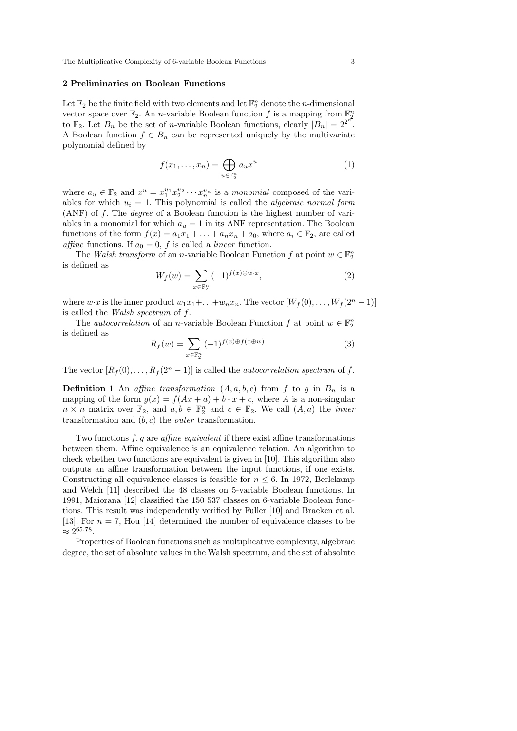## 2 Preliminaries on Boolean Functions

Let  $\Bbb F_2$  be the finite field with two elements and let  $\Bbb F_2^n$  denote the *n*-dimensional vector space over  $\Bbb{F}_2$ . An *n*-variable Boolean function f is a mapping from  $\Bbb{F}_2^n$ to  $\mathbb{F}_2$ . Let  $B_n$  be the set of *n*-variable Boolean functions, clearly  $|\tilde{B_n}| = 2^{2^{n}}$ . A Boolean function  $f \in B_n$  can be represented uniquely by the multivariate polynomial defined by

$$
f(x_1, \ldots, x_n) = \bigoplus_{u \in \mathbb{F}_2^n} a_u x^u \tag{1}
$$

where  $a_u \in \mathbb{F}_2$  and  $x^u = x_1^{u_1} x_2^{u_2} \cdots x_n^{u_n}$  is a monomial composed of the variables for which  $u_i = 1$ . This polynomial is called the *algebraic normal form* (ANF) of f. The degree of a Boolean function is the highest number of variables in a monomial for which  $a_u = 1$  in its ANF representation. The Boolean functions of the form  $f(x) = a_1x_1 + \ldots + a_nx_n + a_0$ , where  $a_i \in \Bbb{F}_2$ , are called affine functions. If  $a_0 = 0$ , f is called a *linear* function.

The Walsh transform of an n-variable Boolean Function  $f$  at point  $w \in \Bbb F_2^n$ is defined as

$$
W_f(w) = \sum_{x \in \mathbb{F}_2^n} (-1)^{f(x) \oplus w \cdot x},\tag{2}
$$

where  $w \cdot x$  is the inner product  $w_1x_1 + \ldots + w_nx_n$ . The vector  $[W_f(\overline{0}), \ldots, W_f(\overline{2^n-1})]$ is called the Walsh spectrum of f.

The *autocorrelation* of an *n*-variable Boolean Function  $f$  at point  $w \in \mathbb{F}_2^n$ is defined as

$$
R_f(w) = \sum_{x \in \mathbb{F}_2^n} (-1)^{f(x) \oplus f(x \oplus w)}.
$$
 (3)

The vector  $[R_f(\overline{0}),...,R_f(\overline{2^n-1})]$  is called the *autocorrelation spectrum* of f.

**Definition 1** An affine transformation  $(A, a, b, c)$  from f to g in  $B_n$  is a mapping of the form  $g(x) = f(Ax + a) + b \cdot x + c$ , where A is a non-singular  $n \times n$  matrix over  $\Bbb{F}_2$ , and  $a, b \in \Bbb{F}_2^n$  and  $c \in \Bbb{F}_2$ . We call  $(A, a)$  the *inner* transformation and  $(b, c)$  the *outer* transformation.

Two functions f, g are affine equivalent if there exist affine transformations between them. Affine equivalence is an equivalence relation. An algorithm to check whether two functions are equivalent is given in [10]. This algorithm also outputs an affine transformation between the input functions, if one exists. Constructing all equivalence classes is feasible for  $n \leq 6$ . In 1972, Berlekamp and Welch [11] described the 48 classes on 5-variable Boolean functions. In 1991, Maiorana [12] classified the 150 537 classes on 6-variable Boolean functions. This result was independently verified by Fuller [10] and Braeken et al. [13]. For  $n = 7$ , Hou [14] determined the number of equivalence classes to be  $\approx 2^{65.78}.$ 

Properties of Boolean functions such as multiplicative complexity, algebraic degree, the set of absolute values in the Walsh spectrum, and the set of absolute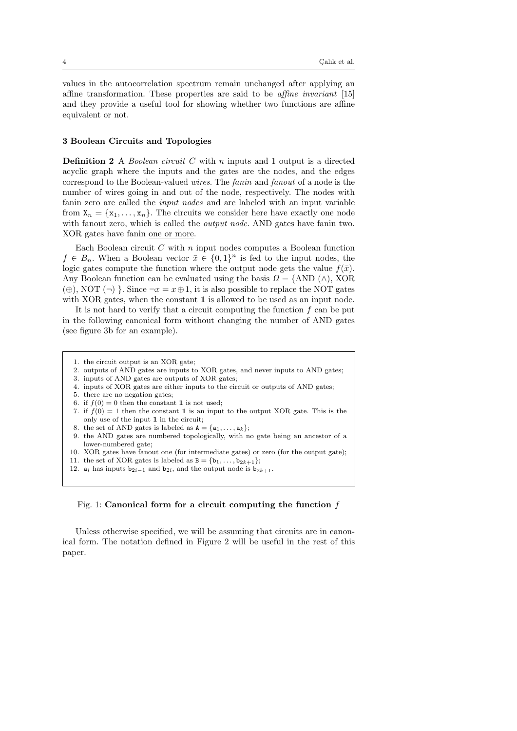values in the autocorrelation spectrum remain unchanged after applying an affine transformation. These properties are said to be affine invariant [15] and they provide a useful tool for showing whether two functions are affine equivalent or not.

## 3 Boolean Circuits and Topologies

**Definition 2** A *Boolean circuit*  $C$  with  $n$  inputs and 1 output is a directed acyclic graph where the inputs and the gates are the nodes, and the edges correspond to the Boolean-valued wires. The fanin and fanout of a node is the number of wires going in and out of the node, respectively. The nodes with fanin zero are called the input nodes and are labeled with an input variable from  $X_n = \{ x_1, \ldots, x_n\}$ . The circuits we consider here have exactly one node with fanout zero, which is called the *output node*. AND gates have fanin two. XOR gates have fanin one or more.

Each Boolean circuit  $C$  with  $n$  input nodes computes a Boolean function  $f \in B_n$ . When a Boolean vector  $\bar{x} \in \{ 0, 1\}^n$  is fed to the input nodes, the logic gates compute the function where the output node gets the value  $f(\bar{x})$ . Any Boolean function can be evaluated using the basis  $\Omega = \{ \text{AND} (\wedge )$ , XOR  $(\oplus)$ , NOT  $(\neg)$ . Since  $\neg x = x\oplus 1$ , it is also possible to replace the NOT gates with XOR gates, when the constant 1 is allowed to be used as an input node.

It is not hard to verify that a circuit computing the function  $f$  can be put in the following canonical form without changing the number of AND gates (see figure 3b for an example).

- 1. the circuit output is an XOR gate;
- 2. outputs of AND gates are inputs to XOR gates, and never inputs to AND gates;
- 3. inputs of AND gates are outputs of XOR gates;
- 4. inputs of XOR gates are either inputs to the circuit or outputs of AND gates;
- 5. there are no negation gates;
- 6. if  $f(0) = 0$  then the constant 1 is not used;
- 7. if  $f(0) = 1$  then the constant 1 is an input to the output XOR gate. This is the only use of the input 1 in the circuit;
- 8. the set of AND gates is labeled as  $A = \{a_1, \ldots, a_k\}$ ;
- 9. the AND gates are numbered topologically, with no gate being an ancestor of a lower-numbered gate;
- 10. XOR gates have fanout one (for intermediate gates) or zero (for the output gate);
- 11. the set of XOR gates is labeled as  $B = \{ b_1, \ldots, b_{2k+1}\}$ ;
- 12.  $a_i$  has inputs  $b_{2i-1}$  and  $b_{2i}$ , and the output node is  $b_{2k+1}$ .

## Fig. 1: Canonical form for a circuit computing the function  $f$

Unless otherwise specified, we will be assuming that circuits are in canonical form. The notation defined in Figure 2 will be useful in the rest of this paper.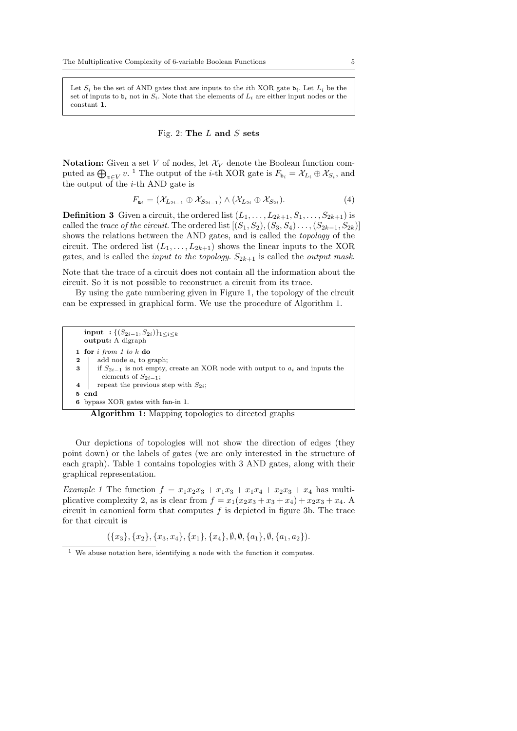Let  $S_i$  be the set of AND gates that are inputs to the *i*th XOR gate  $b_i$ . Let  $L_i$  be the set of inputs to  $\mathbf{b}_i$  not in  $S_i$ . Note that the elements of  $L_i$  are either input nodes or the constant 1.

# Fig. 2: The  $L$  and  $S$  sets

**Notation:** Given a set V of nodes, let  $\mathcal{X}_V$  denote the Boolean function computed as  $\bigoplus_{v\in V} v$ . <sup>1</sup> The output of the *i*-th XOR gate is  $F_{\mathbf{b}_i} = \mathcal{X}_{L_i} \oplus \mathcal{X}_{S_i}$ , and the output of the  $i$ -th AND gate is

$$
F_{\mathbf{a}_i} = (\mathcal{X}_{L_{2i-1}} \oplus \mathcal{X}_{S_{2i-1}}) \wedge (\mathcal{X}_{L_{2i}} \oplus \mathcal{X}_{S_{2i}}).
$$
\n
$$
\tag{4}
$$

**Definition 3** Given a circuit, the ordered list  $(L_1, \ldots, L_{2k+1}, S_1, \ldots, S_{2k+1})$  is called the trace of the circuit. The ordered list  $[(S_1, S_2), (S_3, S_4), \ldots, (S_{2k-1}, S_{2k})]$ shows the relations between the AND gates, and is called the topology of the circuit. The ordered list  $(L_1, \ldots, L_{2k+1})$  shows the linear inputs to the XOR gates, and is called the *input to the topology.*  $S_{2k+1}$  is called the *output mask.* 

Note that the trace of a circuit does not contain all the information about the circuit. So it is not possible to reconstruct a circuit from its trace.

By using the gate numbering given in Figure 1, the topology of the circuit can be expressed in graphical form. We use the procedure of Algorithm 1.

|          | <b>input</b> : $\{(S_{2i-1}, S_{2i})\}_{1 \leq i \leq k}$<br><b>output:</b> A digraph  |  |  |
|----------|----------------------------------------------------------------------------------------|--|--|
|          | 1 for $i$ from 1 to $k$ do                                                             |  |  |
| $\bf{2}$ | add node $a_i$ to graph;                                                               |  |  |
|          | 3   if $S_{2i-1}$ is not empty, create an XOR node with output to $a_i$ and inputs the |  |  |
|          | elements of $S_{2i-1}$ ;                                                               |  |  |
|          | repeat the previous step with $S_{2i}$ ;                                               |  |  |
| 5 end    |                                                                                        |  |  |
|          | 6 bypass XOR gates with fan-in 1.                                                      |  |  |

Algorithm 1: Mapping topologies to directed graphs

Our depictions of topologies will not show the direction of edges (they point down) or the labels of gates (we are only interested in the structure of each graph). Table 1 contains topologies with 3 AND gates, along with their graphical representation.

Example 1 The function  $f = x_1x_2x_3 + x_1x_3 + x_1x_4 + x_2x_3 + x_4$  has multiplicative complexity 2, as is clear from  $f = x_1(x_2x_3 + x_3 + x_4) + x_2x_3 + x_4$ . circuit in canonical form that computes  $f$  is depicted in figure 3b. The trace for that circuit is

 $(\{ x_3 \} , \{ x_2 \} , \{ x_3, x_4 \} , \{ x_1\} , \{ x_4 \} , \emptyset , \emptyset , \{ a_1 \} , \emptyset , \{ a_1, a_2\} ).$ 

 $^{\rm 1}$  We abuse notation here, identifying a node with the function it computes.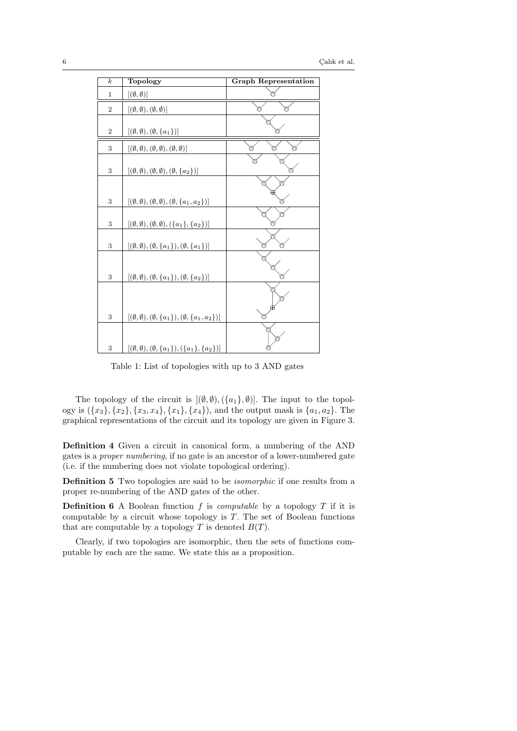| $\overline{k}$   | Topology                                                                      | <b>Graph Representation</b> |
|------------------|-------------------------------------------------------------------------------|-----------------------------|
| $\mathbf{1}$     | $[(\emptyset, \emptyset)]$                                                    |                             |
| $\overline{2}$   | $[(\emptyset, \emptyset), (\emptyset, \emptyset)]$                            | ⋒                           |
| $\boldsymbol{2}$ | $[(\emptyset, \emptyset), (\emptyset, \{a_1\})]$                              |                             |
| 3                | $[(\emptyset, \emptyset), (\emptyset, \emptyset), (\emptyset, \emptyset)]$    |                             |
| 3                | $[(\emptyset, \emptyset), (\emptyset, \emptyset), (\emptyset, \{a_2\})]$      |                             |
|                  |                                                                               |                             |
| 3                | $[(\emptyset, \emptyset), (\emptyset, \emptyset), (\emptyset, \{a_1, a_2\})]$ |                             |
| 3                | $[(\emptyset, \emptyset), (\emptyset, \emptyset), (\{a_1\}, \{a_2\})]$        |                             |
| 3                | $[(\emptyset,\emptyset),(\emptyset,\{a_1\}),(\emptyset,\{a_1\})]$             |                             |
|                  |                                                                               |                             |
| 3                | $[(\emptyset, \emptyset), (\emptyset, \{a_1\}), (\emptyset, \{a_2\})]$        |                             |
|                  |                                                                               |                             |
| 3                | $[(\emptyset,\emptyset),(\emptyset,\{a_1\}),(\emptyset,\{a_1,a_2\})]$         |                             |
| 3                | $[(\emptyset, \emptyset), (\emptyset, \{a_1\}), (\{a_1\}, \{a_2\})]$          |                             |

Table 1: List of topologies with up to 3 AND gates

The topology of the circuit is  $[(\emptyset, \emptyset),(\{a_1\}, \emptyset)]$ . The input to the topology is  $(\{ x_3 \} , \{ x_2 \} , \{ x_3, x_4 \} , \{ x_1 \} , \{ x_4\} )$ , and the output mask is  $\{ a_1, a_2\}$ . The graphical representations of the circuit and its topology are given in Figure 3.

Definition 4 Given a circuit in canonical form, a numbering of the AND gates is a proper numbering, if no gate is an ancestor of a lower-numbered gate (i.e. if the numbering does not violate topological ordering).

Definition 5 Two topologies are said to be isomorphic if one results from a proper re-numbering of the AND gates of the other.

**Definition 6** A Boolean function f is *computable* by a topology  $T$  if it is computable by a circuit whose topology is  $T$ . The set of Boolean functions that are computable by a topology  $T$  is denoted  $B(T)$ .

Clearly, if two topologies are isomorphic, then the sets of functions computable by each are the same. We state this as a proposition.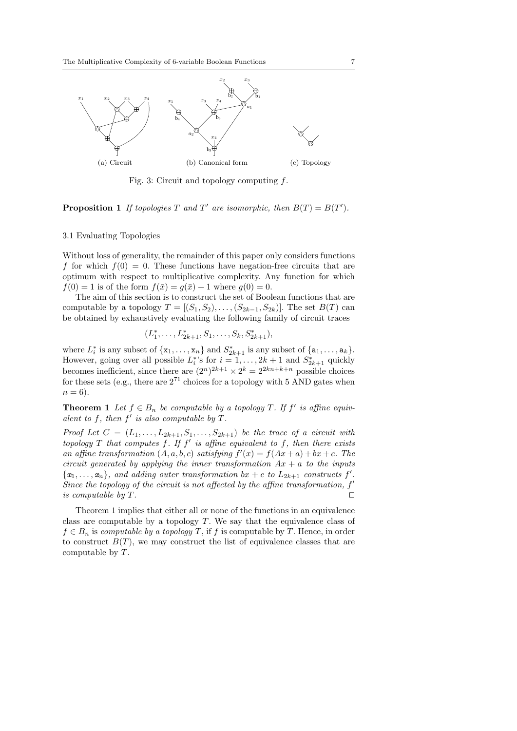

Fig. 3: Circuit and topology computing f.

**Proposition 1** If topologies T and T' are isomorphic, then  $B(T) = B(T')$ .

#### 3.1 Evaluating Topologies

Without loss of generality, the remainder of this paper only considers functions f for which  $f(0) = 0$ . These functions have negation-free circuits that are optimum with respect to multiplicative complexity. Any function for which  $f(0) = 1$  is of the form  $f(\bar{x}) = g(\bar{x}) + 1$  where  $g(0) = 0$ .

The aim of this section is to construct the set of Boolean functions that are computable by a topology  $T = [(S_1, S_2), \ldots, (S_{2k-1}, S_{2k})]$ . The set  $B(T)$  can be obtained by exhaustively evaluating the following family of circuit traces

$$
(L_1^*, \ldots, L_{2k+1}^*, S_1, \ldots, S_k, S_{2k+1}^*),
$$

where  $L_i^*$  is any subset of  $\{x_1, \ldots, x_n\}$  and  $S_{2k+1}^*$  is any subset of  $\{a_1, \ldots, a_k\}$ . However, going over all possible  $L_i^*$ 's for  $i = 1, ..., 2k + 1$  and  $S_{2k+1}^*$  quickly becomes inefficient, since there are  $(2^n)^{2k+1} \times 2^k = 2^{2kn+k+n}$  possible choices for these sets (e.g., there are  $2^{71}$  choices for a topology with 5 AND gates when  $n = 6$ ).

**Theorem 1** Let  $f \in B_n$  be computable by a topology T. If  $f'$  is affine equivalent to f, then  $f'$  is also computable by  $T$ .

Proof Let  $C = (L_1, \ldots, L_{2k+1}, S_1, \ldots, S_{2k+1})$  be the trace of a circuit with topology  $T$  that computes  $f$ . If  $f'$  is affine equivalent to  $f$ , then there exists an affine transformation  $(A, a, b, c)$  satisfying  $f'(x) = f(Ax + a) + bx + c$ . The circuit generated by applying the inner transformation  $Ax + a$  to the inputs  $\{x_1, \ldots, x_n\}$ , and adding outer transformation bx + c to  $L_{2k+1}$  constructs f'. Since the topology of the circuit is not affected by the affine transformation,  $f'$ is computable by  $T$ .

Theorem 1 implies that either all or none of the functions in an equivalence class are computable by a topology  $T$ . We say that the equivalence class of  $f \in B_n$  is computable by a topology T, if f is computable by T. Hence, in order to construct  $B(T)$ , we may construct the list of equivalence classes that are computable by T.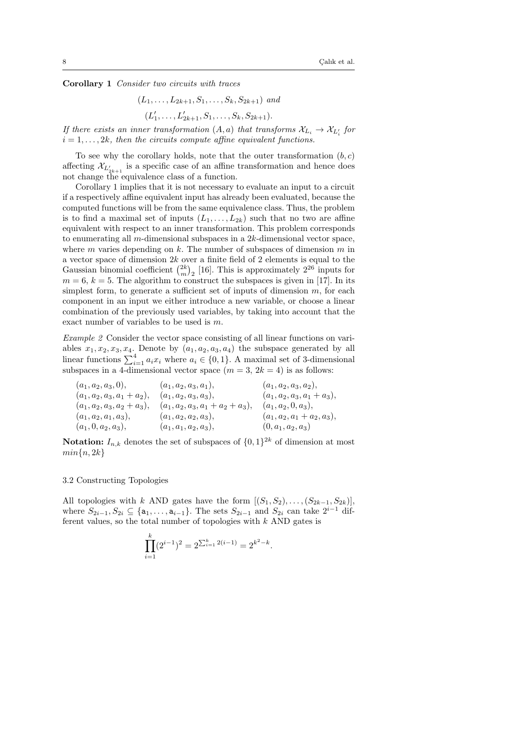Corollary 1 Consider two circuits with traces

$$
(L_1, \ldots, L_{2k+1}, S_1, \ldots, S_k, S_{2k+1})
$$
 and

$$
(L'_1, \ldots, L'_{2k+1}, S_1, \ldots, S_k, S_{2k+1}).
$$

If there exists an inner transformation  $(A, a)$  that transforms  $\mathcal{X}_{L_i} \rightarrow \mathcal{X}_{L_i'}$  for  $i = 1, \ldots, 2k$ , then the circuits compute affine equivalent functions.

To see why the corollary holds, note that the outer transformation  $(b, c)$ affecting  $\mathcal{X}_{L'_{2k+1}}$  is a specific case of an affine transformation and hence does not change the equivalence class of a function.

Corollary 1 implies that it is not necessary to evaluate an input to a circuit if a respectively affine equivalent input has already been evaluated, because the computed functions will be from the same equivalence class. Thus, the problem is to find a maximal set of inputs  $(L_1, \ldots, L_{2k})$  such that no two are affine equivalent with respect to an inner transformation. This problem corresponds to enumerating all m-dimensional subspaces in a  $2k$ -dimensional vector space. where  $m$  varies depending on  $k$ . The number of subspaces of dimension  $m$  in a vector space of dimension  $2k$  over a finite field of 2 elements is equal to the Gaussian binomial coefficient  $\binom{2k}{m}_2$  [16]. This is approximately  $2^{26}$  inputs for  $m = 6, k = 5$ . The algorithm to construct the subspaces is given in [17]. In its simplest form, to generate a sufficient set of inputs of dimension  $m$ , for each component in an input we either introduce a new variable, or choose a linear combination of the previously used variables, by taking into account that the exact number of variables to be used is m.

Example 2 Consider the vector space consisting of all linear functions on variables  $x_1, x_2, x_3, x_4$ . Denote by  $(a_1, a_2, a_3, a_4)$  the subspace generated by all linear functions  $\sum_{i=1}^4 a_i x_i$  where  $a_i \in \{ 0, 1\}$ . A maximal set of 3-dimensional subspaces in a 4-dimensional vector space  $(m = 3, 2k = 4)$  is as follows:

| $(a_1, a_2, a_3, 0),$         | $(a_1, a_2, a_3, a_1),$             | $(a_1, a_2, a_3, a_2),$       |
|-------------------------------|-------------------------------------|-------------------------------|
| $(a_1, a_2, a_3, a_1 + a_2),$ | $(a_1, a_2, a_3, a_3),$             | $(a_1, a_2, a_3, a_1 + a_3),$ |
| $(a_1, a_2, a_3, a_2 + a_3),$ | $(a_1, a_2, a_3, a_1 + a_2 + a_3),$ | $(a_1, a_2, 0, a_3),$         |
| $(a_1, a_2, a_1, a_3),$       | $(a_1, a_2, a_2, a_3),$             | $(a_1, a_2, a_1 + a_2, a_3),$ |
| $(a_1, 0, a_2, a_3),$         | $(a_1, a_1, a_2, a_3),$             | $(0, a_1, a_2, a_3)$          |

**Notation:**  $I_{n,k}$  denotes the set of subspaces of  $\{ 0, 1\}^{2k}$  of dimension at most  $min\{ n, 2k\}$ 

#### 3.2 Constructing Topologies

All topologies with k AND gates have the form  $[(S_1, S_2), \ldots, (S_{2k-1}, S_{2k})]$ , where  $S_{2i-1}, S_{2i} \subseteq \{ a_1, \ldots, a_{i-1} \}$ . The sets  $S_{2i-1}$  and  $S_{2i}$  can take  $2^{i-1}$  different values, so the total number of topologies with  $k$  AND gates is

$$
\prod_{i=1}^{k} (2^{i-1})^2 = 2^{\sum_{i=1}^{k} 2(i-1)} = 2^{k^2 - k}.
$$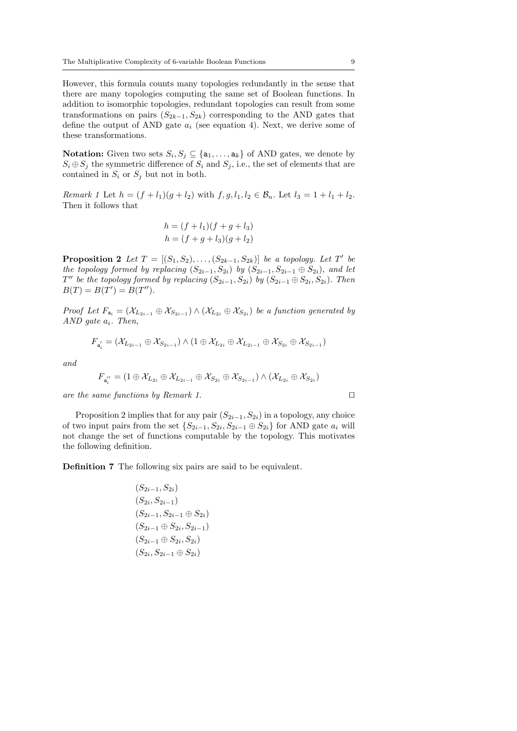However, this formula counts many topologies redundantly in the sense that there are many topologies computing the same set of Boolean functions. In addition to isomorphic topologies, redundant topologies can result from some transformations on pairs  $(S_{2k-1}, S_{2k})$  corresponding to the AND gates that define the output of AND gate  $a_i$  (see equation 4). Next, we derive some of these transformations.

**Notation:** Given two sets  $S_i, S_j \subseteq \{a_1, \ldots, a_k\}$  of AND gates, we denote by  $S_i \oplus S_j$  the symmetric difference of  $S_i$  and  $S_j$ , i.e., the set of elements that are contained in  $S_i$  or  $S_j$  but not in both.

Remark 1 Let  $h = (f + l_1)(g + l_2)$  with  $f, g, l_1, l_2 \in \mathcal{B}_n$ . Let  $l_3 = 1 + l_1 + l_2$ . Then it follows that

$$
h = (f + l_1)(f + g + l_3)
$$
  

$$
h = (f + g + l_3)(g + l_2)
$$

**Proposition 2** Let  $T = [(S_1, S_2), \ldots, (S_{2k-1}, S_{2k})]$  be a topology. Let T' be the topology formed by replacing  $(S_{2i-1}, S_{2i})$  by  $(S_{2i-1}, S_{2i-1} \oplus S_{2i})$ , and let  $T''$  be the topology formed by replacing  $(S_{2i-1}, S_{2i})$  by  $(S_{2i-1} \oplus S_{2i}, S_{2i})$ . Then  $B(T) = B(T') = B(T'').$ 

Proof Let  $F_{a_i} = (\mathcal{X}_{L_{2i-1}} \oplus \mathcal{X}_{S_{2i-1}}) \wedge (\mathcal{X}_{L_{2i}} \oplus \mathcal{X}_{S_{2i}})$  be a function generated by AND gate  $a_i$ . Then,

$$
F_{a_i'} = (\mathcal{X}_{L_{2i-1}} \oplus \mathcal{X}_{S_{2i-1}}) \wedge (1 \oplus \mathcal{X}_{L_{2i}} \oplus \mathcal{X}_{L_{2i-1}} \oplus \mathcal{X}_{S_{2i}} \oplus \mathcal{X}_{S_{2i-1}})
$$

and

$$
F_{a_i^{\prime\prime}}=(1\oplus \mathcal{X}_{L_{2i}}\oplus \mathcal{X}_{L_{2i-1}}\oplus \mathcal{X}_{S_{2i}}\oplus \mathcal{X}_{S_{2i-1}})\wedge (\mathcal{X}_{L_{2i}}\oplus \mathcal{X}_{S_{2i}})
$$

are the same functions by Remark 1.  $\Box$ 

Proposition 2 implies that for any pair  $(S_{2i-1}, S_{2i})$  in a topology, any choice of two input pairs from the set  $\{ S_{2i-1}, S_{2i}, S_{2i-1} \oplus S_{2i} \}$  for AND gate  $a_i$  will not change the set of functions computable by the topology. This motivates the following definition.

Definition 7 The following six pairs are said to be equivalent.

$$
(S_{2i-1}, S_{2i})
$$
  
\n
$$
(S_{2i}, S_{2i-1})
$$
  
\n
$$
(S_{2i-1}, S_{2i-1} \oplus S_{2i})
$$
  
\n
$$
(S_{2i-1} \oplus S_{2i}, S_{2i-1})
$$
  
\n
$$
(S_{2i-1} \oplus S_{2i}, S_{2i})
$$
  
\n
$$
(S_{2i}, S_{2i-1} \oplus S_{2i})
$$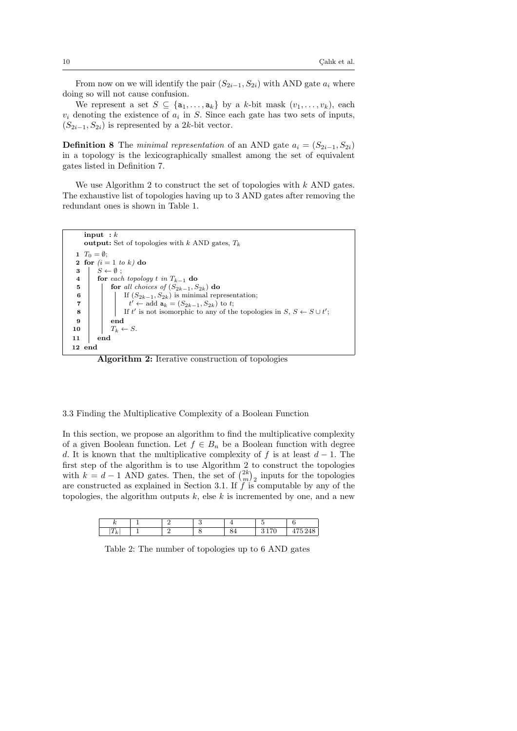From now on we will identify the pair  $(S_{2i-1}, S_{2i})$  with AND gate  $a_i$  where doing so will not cause confusion.

We represent a set  $S \subseteq \{a_1, \ldots, a_k\}$  by a k-bit mask  $(v_1, \ldots, v_k)$ , each  $v_i$  denoting the existence of  $a_i$  in S. Since each gate has two sets of inputs,  $(S_{2i-1}, S_{2i})$  is represented by a 2k-bit vector.

**Definition 8** The *minimal representation* of an AND gate  $a_i = (S_{2i-1}, S_{2i})$ in a topology is the lexicographically smallest among the set of equivalent gates listed in Definition 7.

We use Algorithm 2 to construct the set of topologies with  $k$  AND gates. The exhaustive list of topologies having up to 3 AND gates after removing the redundant ones is shown in Table 1.



Algorithm 2: Iterative construction of topologies

3.3 Finding the Multiplicative Complexity of a Boolean Function

In this section, we propose an algorithm to find the multiplicative complexity of a given Boolean function. Let  $f \in B_n$  be a Boolean function with degree d. It is known that the multiplicative complexity of f is at least  $d-1$ . The first step of the algorithm is to use Algorithm 2 to construct the topologies with  $k = d - 1$  AND gates. Then, the set of  $\binom{2k}{m}_2$  inputs for the topologies are constructed as explained in Section 3.1. If  $f$  is computable by any of the topologies, the algorithm outputs  $k$ , else k is incremented by one, and a new

Table 2: The number of topologies up to 6 AND gates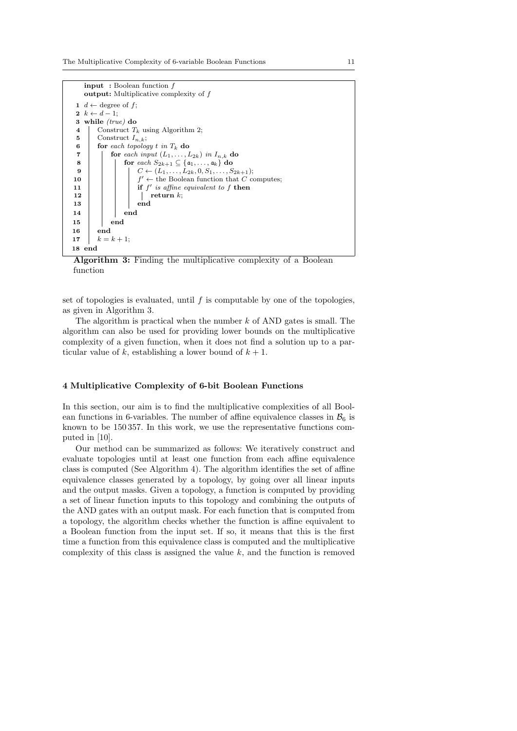

Algorithm 3: Finding the multiplicative complexity of a Boolean function

set of topologies is evaluated, until  $f$  is computable by one of the topologies, as given in Algorithm 3.

The algorithm is practical when the number  $k$  of AND gates is small. The algorithm can also be used for providing lower bounds on the multiplicative complexity of a given function, when it does not find a solution up to a particular value of k, establishing a lower bound of  $k + 1$ .

#### 4 Multiplicative Complexity of 6-bit Boolean Functions

In this section, our aim is to find the multiplicative complexities of all Boolean functions in 6-variables. The number of affine equivalence classes in  $\mathcal{B}_6$  is known to be 150 357. In this work, we use the representative functions computed in [10].

Our method can be summarized as follows: We iteratively construct and evaluate topologies until at least one function from each affine equivalence class is computed (See Algorithm 4). The algorithm identifies the set of affine equivalence classes generated by a topology, by going over all linear inputs and the output masks. Given a topology, a function is computed by providing a set of linear function inputs to this topology and combining the outputs of the AND gates with an output mask. For each function that is computed from a topology, the algorithm checks whether the function is affine equivalent to a Boolean function from the input set. If so, it means that this is the first time a function from this equivalence class is computed and the multiplicative complexity of this class is assigned the value  $k$ , and the function is removed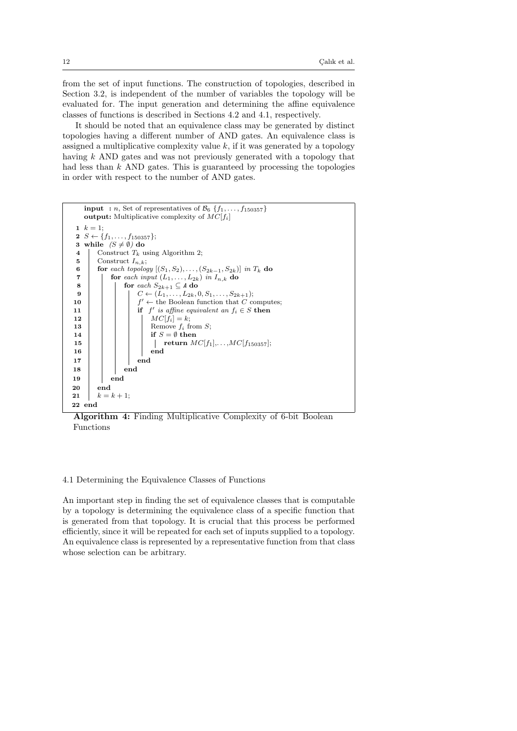from the set of input functions. The construction of topologies, described in Section 3.2, is independent of the number of variables the topology will be evaluated for. The input generation and determining the affine equivalence classes of functions is described in Sections 4.2 and 4.1, respectively.

It should be noted that an equivalence class may be generated by distinct topologies having a different number of AND gates. An equivalence class is assigned a multiplicative complexity value  $k$ , if it was generated by a topology having k AND gates and was not previously generated with a topology that had less than  $k$  AND gates. This is guaranteed by processing the topologies in order with respect to the number of AND gates.



Algorithm 4: Finding Multiplicative Complexity of 6-bit Boolean Functions

## 4.1 Determining the Equivalence Classes of Functions

An important step in finding the set of equivalence classes that is computable by a topology is determining the equivalence class of a specific function that is generated from that topology. It is crucial that this process be performed efficiently, since it will be repeated for each set of inputs supplied to a topology. An equivalence class is represented by a representative function from that class whose selection can be arbitrary.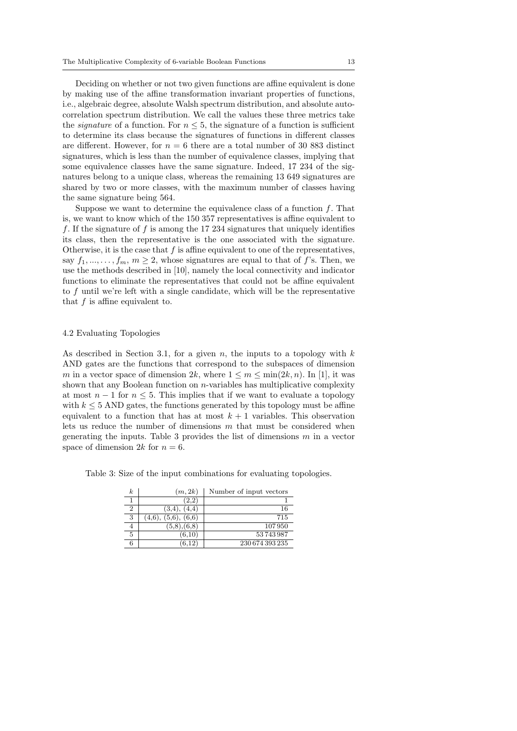Deciding on whether or not two given functions are affine equivalent is done by making use of the affine transformation invariant properties of functions, i.e., algebraic degree, absolute Walsh spectrum distribution, and absolute autocorrelation spectrum distribution. We call the values these three metrics take the *signature* of a function. For  $n \leq 5$ , the signature of a function is sufficient to determine its class because the signatures of functions in different classes are different. However, for  $n = 6$  there are a total number of 30 883 distinct signatures, which is less than the number of equivalence classes, implying that some equivalence classes have the same signature. Indeed, 17 234 of the signatures belong to a unique class, whereas the remaining 13 649 signatures are shared by two or more classes, with the maximum number of classes having the same signature being 564.

Suppose we want to determine the equivalence class of a function  $f$ . That is, we want to know which of the 150 357 representatives is affine equivalent to f. If the signature of f is among the 17 234 signatures that uniquely identifies its class, then the representative is the one associated with the signature. Otherwise, it is the case that  $f$  is affine equivalent to one of the representatives, say  $f_1, \ldots, f_m, m \geq 2$ , whose signatures are equal to that of f's. Then, we use the methods described in [10], namely the local connectivity and indicator functions to eliminate the representatives that could not be affine equivalent to f until we're left with a single candidate, which will be the representative that f is affine equivalent to.

#### 4.2 Evaluating Topologies

As described in Section 3.1, for a given n, the inputs to a topology with  $k$ AND gates are the functions that correspond to the subspaces of dimension m in a vector space of dimension  $2k$ , where  $1 \leq m \leq \min(2k, n)$ . In [1], it was shown that any Boolean function on  $n$ -variables has multiplicative complexity at most  $n - 1$  for  $n \leq 5$ . This implies that if we want to evaluate a topology with  $k \leq 5$  AND gates, the functions generated by this topology must be affine equivalent to a function that has at most  $k+1$  variables. This observation lets us reduce the number of dimensions  $m$  that must be considered when generating the inputs. Table 3 provides the list of dimensions  $m$  in a vector space of dimension 2k for  $n = 6$ .

Table 3: Size of the input combinations for evaluating topologies.

| $\boldsymbol{k}$ | (m, 2k)                   | Number of input vectors |
|------------------|---------------------------|-------------------------|
|                  | (2,2)                     |                         |
| 2                | $(3.4)$ ,<br>(4,4)        | 16                      |
| 3                | (5,6), (6,6)<br>$(4.6)$ , | 715                     |
|                  | (5,8), (6,8)              | 107950                  |
| 5                | (6.10)                    | 53743987                |
| 6                |                           | 230 674 393 235         |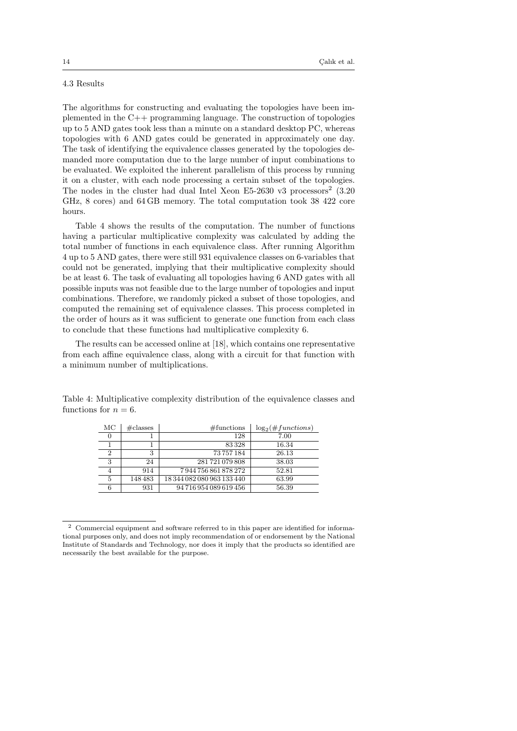## 4.3 Results

The algorithms for constructing and evaluating the topologies have been implemented in the C++ programming language. The construction of topologies up to 5 AND gates took less than a minute on a standard desktop PC, whereas topologies with 6 AND gates could be generated in approximately one day. The task of identifying the equivalence classes generated by the topologies demanded more computation due to the large number of input combinations to be evaluated. We exploited the inherent parallelism of this process by running it on a cluster, with each node processing a certain subset of the topologies. The nodes in the cluster had dual Intel Xeon E5-2630 v3 processors<sup>2</sup>  $(3.20$ GHz, 8 cores) and 64 GB memory. The total computation took 38 422 core hours.

Table 4 shows the results of the computation. The number of functions having a particular multiplicative complexity was calculated by adding the total number of functions in each equivalence class. After running Algorithm 4 up to 5 AND gates, there were still 931 equivalence classes on 6-variables that could not be generated, implying that their multiplicative complexity should be at least 6. The task of evaluating all topologies having 6 AND gates with all possible inputs was not feasible due to the large number of topologies and input combinations. Therefore, we randomly picked a subset of those topologies, and computed the remaining set of equivalence classes. This process completed in the order of hours as it was sufficient to generate one function from each class to conclude that these functions had multiplicative complexity 6.

The results can be accessed online at [18], which contains one representative from each affine equivalence class, along with a circuit for that function with a minimum number of multiplications.

| МC | $\#$ classes | #functions                 | $\log_2(\#functions)$ |
|----|--------------|----------------------------|-----------------------|
|    |              | 128                        | 7.00                  |
|    |              | 83328                      | 16.34                 |
| 2  | ച            | 73757184                   | 26.13                 |
| 3  | 24           | 281721079808               | 38.03                 |
|    | 914          | 7944756861878272           | 52.81                 |
| 5  | 148483       | 18 344 082 080 963 133 440 | 63.99                 |
| 6  | 931          | 94 716 954 089 619 456     | 56.39                 |

Table 4: Multiplicative complexity distribution of the equivalence classes and functions for  $n = 6$ .

<sup>2</sup> Commercial equipment and software referred to in this paper are identified for informational purposes only, and does not imply recommendation of or endorsement by the National Institute of Standards and Technology, nor does it imply that the products so identified are necessarily the best available for the purpose.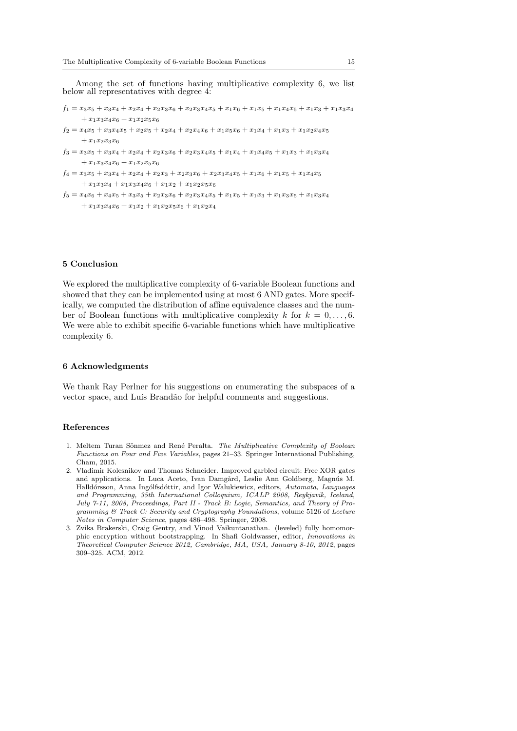Among the set of functions having multiplicative complexity 6, we list below all representatives with degree 4:

 $f_1 = x_3x_5 + x_3x_4 + x_2x_4 + x_2x_3x_6 + x_2x_3x_4x_5 + x_1x_6 + x_1x_5 + x_1x_4x_5 + x_1x_3 + x_1x_3x_4$  $+ x_1x_3x_4x_6 + x_1x_2x_5x_6$ 

 $f_2 = x_4x_5 + x_3x_4x_5 + x_2x_5 + x_2x_4 + x_2x_4x_6 + x_1x_5x_6 + x_1x_4 + x_1x_3 + x_1x_2x_4x_5$  $+x_1x_2x_3x_6$ 

 $f_3 = x_3x_5 + x_3x_4 + x_2x_4 + x_2x_3x_6 + x_2x_3x_4x_5 + x_1x_4 + x_1x_4x_5 + x_1x_3 + x_1x_3x_4$  $+x_1x_3x_4x_6+x_1x_2x_5x_6$ 

```
f_4 = x_3x_5 + x_3x_4 + x_2x_4 + x_2x_3 + x_2x_3x_6 + x_2x_3x_4x_5 + x_1x_6 + x_1x_5 + x_1x_4x_5+\,x_{1}x_{3}x_{4}+x_{1}x_{3}x_{4}x_{6}+x_{1}x_{2}+x_{1}x_{2}x_{5}x_{6}
```

```
f_5 = x_4x_6 + x_4x_5 + x_3x_5 + x_2x_3x_6 + x_2x_3x_4x_5 + x_1x_5 + x_1x_3 + x_1x_3x_5 + x_1x_3x_4+ x_1x_3x_4x_6 + x_1x_2 + x_1x_2x_5x_6 + x_1x_2x_4
```
# 5 Conclusion

We explored the multiplicative complexity of 6-variable Boolean functions and showed that they can be implemented using at most 6 AND gates. More specifically, we computed the distribution of affine equivalence classes and the number of Boolean functions with multiplicative complexity k for  $k = 0, \ldots, 6$ . We were able to exhibit specific 6-variable functions which have multiplicative complexity 6.

## 6 Acknowledgments

We thank Ray Perlner for his suggestions on enumerating the subspaces of a vector space, and Luís Brandão for helpful comments and suggestions.

#### References

- 1. Meltem Turan Sönmez and René Peralta. The Multiplicative Complexity of Boolean Functions on Four and Five Variables, pages 21-33. Springer International Publishing, Cham, 2015.
- 2. Vladimir Kolesnikov and Thomas Schneider. Improved garbled circuit: Free XOR gates and applications. In Luca Aceto, Ivan Damgård, Leslie Ann Goldberg, Magnús M. Halldórsson, Anna Ingólfsdóttir, and Igor Walukiewicz, editors, Automata, Languages and Programming, 35th International Colloquium, ICALP 2008, Reykjavik, Iceland, July 7-11, 2008, Proceedings, Part II - Track B: Logic, Semantics, and Theory of Programming  $\&$  Track C: Security and Cryptography Foundations, volume 5126 of Lecture Notes in Computer Science, pages 486-498. Springer, 2008.
- 3. Zvika Brakerski, Craig Gentry, and Vinod Vaikuntanathan. (leveled) fully homomorphic encryption without bootstrapping. In Shafi Goldwasser, editor, Innovations in Theoretical Computer Science 2012, Cambridge, MA, USA, January 8-10, 2012, pages 309-325. ACM, 2012.